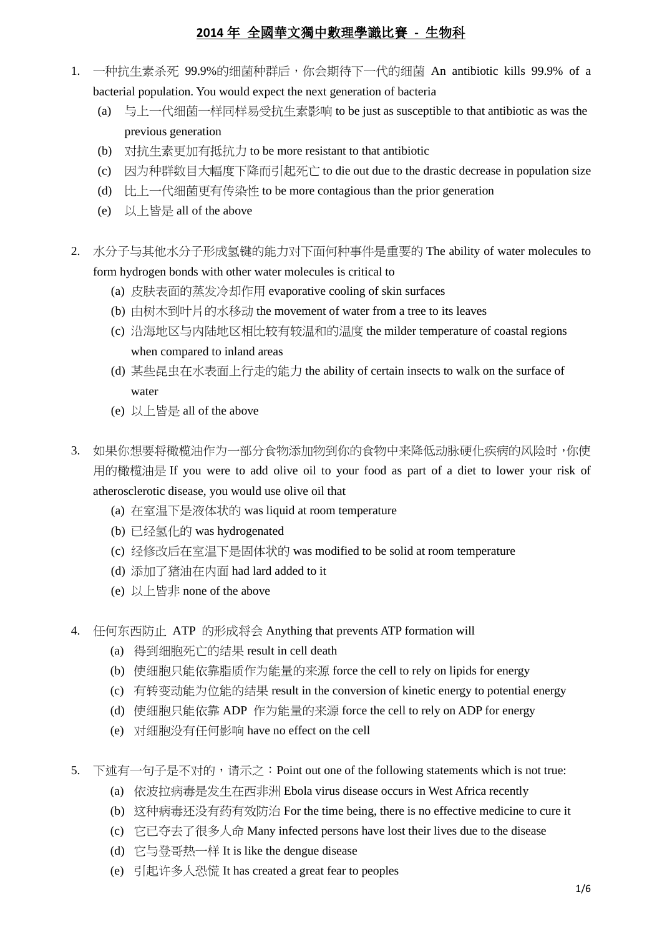- 1. 一种抗生素杀死 99.9%的细菌种群后,你会期待下一代的细菌 An antibiotic kills 99.9% of a bacterial population. You would expect the next generation of bacteria
	- (a) 与上一代细菌一样同样易受抗生素影响 to be just as susceptible to that antibiotic as was the previous generation
	- (b) 对抗生素更加有抵抗力 to be more resistant to that antibiotic
	- (c) 因为种群数目大幅度下降而引起死亡 to die out due to the drastic decrease in population size
	- (d) 比上一代细菌更有传染性 to be more contagious than the prior generation
	- (e) 以上皆是 all of the above
- 2. 水分子与其他水分子形成氢键的能力对下面何种事件是重要的 The ability of water molecules to form hydrogen bonds with other water molecules is critical to
	- (a) 皮肤表面的蒸发冷却作用 evaporative cooling of skin surfaces
	- (b) 由树木到叶片的水移动 the movement of water from a tree to its leaves
	- (c) 沿海地区与内陆地区相比较有较温和的温度 the milder temperature of coastal regions when compared to inland areas
	- (d) 某些昆虫在水表面上行走的能力 the ability of certain insects to walk on the surface of water
	- (e) 以上皆是 all of the above
- 3. 如果你想要将橄榄油作为一部分食物添加物到你的食物中来降低动脉硬化疾病的风险时,你使 用的橄榄油是 If you were to add olive oil to your food as part of a diet to lower your risk of atherosclerotic disease, you would use olive oil that
	- (a) 在室温下是液体状的 was liquid at room temperature
	- (b) 已经氢化的 was hydrogenated
	- (c) 经修改后在室温下是固体状的 was modified to be solid at room temperature
	- (d) 添加了猪油在内面 had lard added to it
	- (e) 以上皆非 none of the above
- 4. 任何东西防止 ATP 的形成将会 Anything that prevents ATP formation will
	- (a) 得到细胞死亡的结果 result in cell death
	- (b) 使细胞只能依靠脂质作为能量的来源 force the cell to rely on lipids for energy
	- (c) 有转变动能为位能的结果 result in the conversion of kinetic energy to potential energy
	- (d) 使细胞只能依靠 ADP 作为能量的来源 force the cell to rely on ADP for energy
	- (e) 对细胞没有任何影响 have no effect on the cell
- 5. 下述有一句子是不对的,请示之: Point out one of the following statements which is not true:
	- (a) 依波拉病毒是发生在西非洲 Ebola virus disease occurs in West Africa recently
	- (b) 这种病毒还没有药有效防治 For the time being, there is no effective medicine to cure it
	- (c) 它已夺去了很多人命 Many infected persons have lost their lives due to the disease
	- (d) 它与登哥热一样 It is like the dengue disease
	- (e) 引起许多人恐慌 It has created a great fear to peoples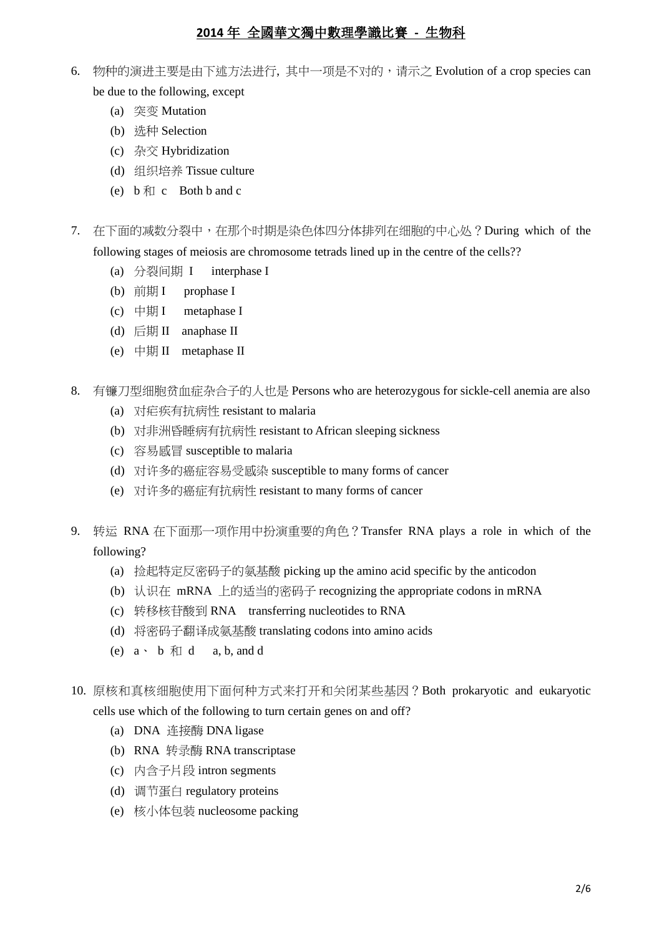- 6. 物种的演进主要是由下述方法进行, 其中一项是不对的,请示之 Evolution of a crop species can be due to the following, except
	- (a) 突变 Mutation
	- (b) 选种 Selection
	- (c) 杂交 Hybridization
	- (d) 组织培养 Tissue culture
	- (e)  $\mathbf{b}$   $\mathbf{\hat{x}}$  c Both  $\mathbf{b}$  and  $\mathbf{c}$
- 7. 在下面的减数分裂中,在那个时期是染色体四分体排列在细胞的中心处?During which of the following stages of meiosis are chromosome tetrads lined up in the centre of the cells??
	- (a) 分裂间期 I interphase I
	- (b) 前期 I prophase I
	- (c) 中期 I metaphase I
	- (d) 后期 II anaphase II
	- (e) 中期 II metaphase II
- 8. 有镰刀型细胞贫血症杂合子的人也是 Persons who are heterozygous for sickle-cell anemia are also
	- (a) 对疟疾有抗病性 resistant to malaria
	- (b) 对非洲昏睡病有抗病性 resistant to African sleeping sickness
	- (c) 容易感冒 susceptible to malaria
	- (d) 对许多的癌症容易受感染 susceptible to many forms of cancer
	- (e) 对许多的癌症有抗病性 resistant to many forms of cancer
- 9. 转运 RNA 在下面那一项作用中扮演重要的角色?Transfer RNA plays a role in which of the following?
	- (a) 捡起特定反密码子的氨基酸 picking up the amino acid specific by the anticodon
	- (b) 认识在 mRNA 上的适当的密码子 recognizing the appropriate codons in mRNA
	- (c) 转移核苷酸到 RNA transferring nucleotides to RNA
	- (d) 将密码子翻译成氨基酸 translating codons into amino acids
	- (e)  $a \cdot b \nleftrightarrow d$  a, b, and d
- 10. 原核和真核细胞使用下面何种方式来打开和关闭某些基因?Both prokaryotic and eukaryotic cells use which of the following to turn certain genes on and off?
	- (a) DNA 连接酶 DNA ligase
	- (b) RNA 转录酶 RNA transcriptase
	- (c) 内含子片段 intron segments
	- (d) 调节蛋白 regulatory proteins
	- (e) 核小体包装 nucleosome packing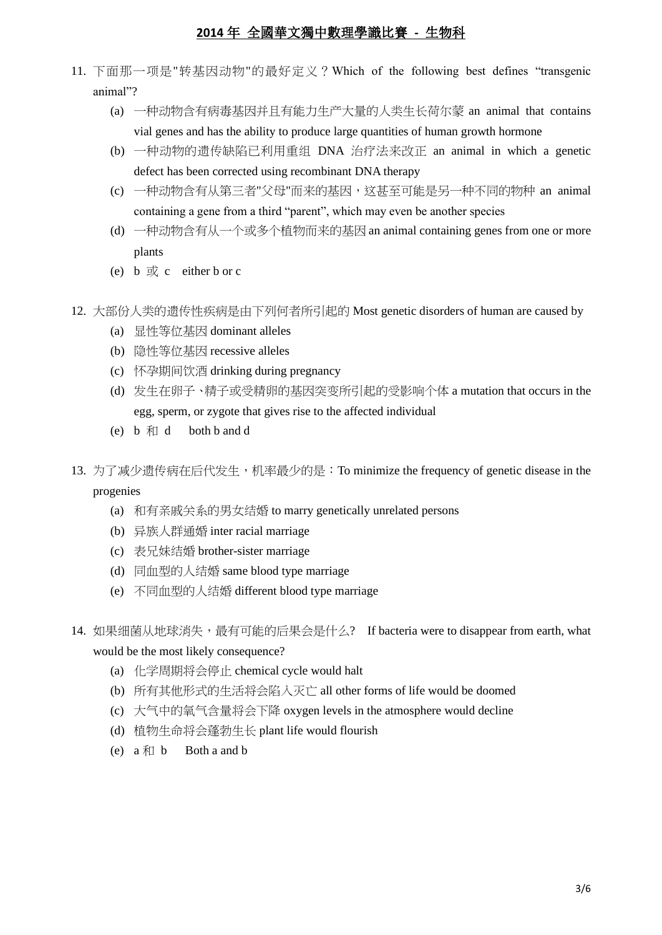- 11. 下面那一项是"转基因动物"的最好定义?Which of the following best defines "transgenic animal"?
	- (a) 一种动物含有病毒基因并且有能力生产大量的人类生长荷尔蒙 an animal that contains vial genes and has the ability to produce large quantities of human growth hormone
	- (b) 一种动物的遗传缺陷已利用重组 DNA 治疗法来改正 an animal in which a genetic defect has been corrected using recombinant DNA therapy
	- (c) 一种动物含有从第三者"父母"而来的基因,这甚至可能是另一种不同的物种 an animal containing a gene from a third "parent", which may even be another species
	- (d) 一种动物含有从一个或多个植物而来的基因 an animal containing genes from one or more plants
	- (e) b  $\overrightarrow{\mathbf{x}}$  c either b or c
- 12. 大部份人类的遗传性疾病是由下列何者所引起的 Most genetic disorders of human are caused by
	- (a) 显性等位基因 dominant alleles
	- (b) 隐性等位基因 recessive alleles
	- (c) 怀孕期间饮酒 drinking during pregnancy
	- (d) 发生在卵子、精子或受精卵的基因突变所引起的受影响个体 a mutation that occurs in the egg, sperm, or zygote that gives rise to the affected individual
	- (e)  $\mathbf{b}$   $\mathbf{\hat{x}}$  d both  $\mathbf{b}$  and  $\mathbf{d}$
- 13. 为了减少遗传病在后代发生, 机率最少的是: To minimize the frequency of genetic disease in the progenies
	- (a) 和有亲戚关系的男女结婚 to marry genetically unrelated persons
	- (b) 异族人群通婚 inter racial marriage
	- (c) 表兄妹结婚 brother-sister marriage
	- (d) 同血型的人结婚 same blood type marriage
	- (e) 不同血型的人结婚 different blood type marriage
- 14. 如果细菌从地球消失,最有可能的后果会是什么? If bacteria were to disappear from earth, what would be the most likely consequence?
	- (a) 化学周期将会停止 chemical cycle would halt
	- (b) 所有其他形式的生活将会陷入灭亡 all other forms of life would be doomed
	- (c) 大气中的氧气含量将会下降 oxygen levels in the atmosphere would decline
	- (d) 植物生命将会蓬勃生长 plant life would flourish
	- (e)  $a \nleftrightarrow b$  Both a and b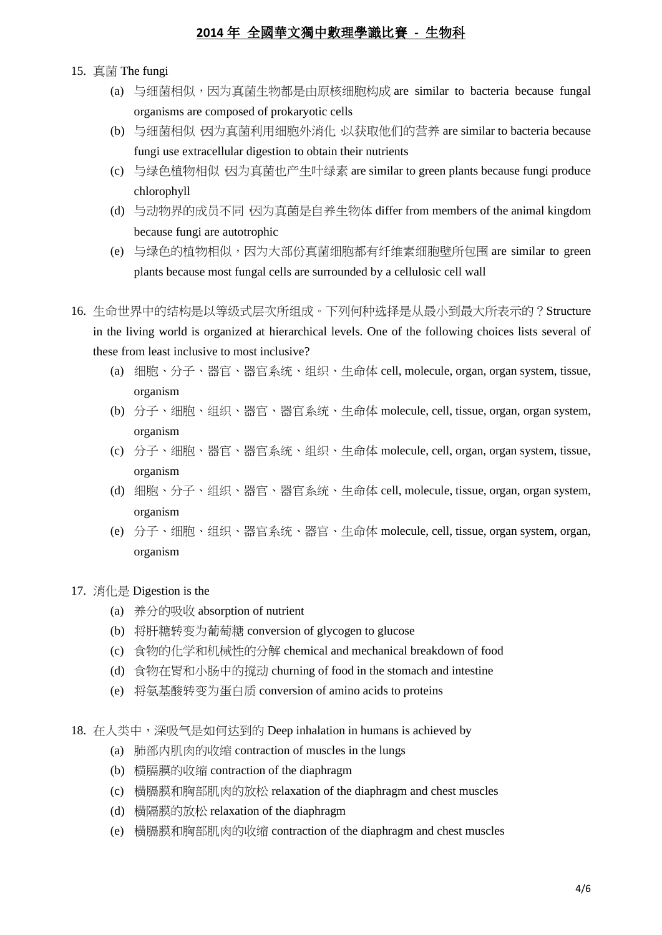- 15. 真菌 The fungi
	- (a) 与细菌相似,因为真菌生物都是由原核细胞构成 are similar to bacteria because fungal organisms are composed of prokaryotic cells
	- (b) 与细菌相似,因为真菌利用细胞外消化,以获取他们的营养 are similar to bacteria because fungi use extracellular digestion to obtain their nutrients
	- (c) 与绿色植物相似 因为真菌也产生叶绿素 are similar to green plants because fungi produce chlorophyll
	- (d) 与动物界的成员不同,因为真菌是自养生物体 differ from members of the animal kingdom because fungi are autotrophic
	- (e) 与绿色的植物相似,因为大部份真菌细胞都有纤维素细胞壁所包围 are similar to green plants because most fungal cells are surrounded by a cellulosic cell wall
- 16. 生命世界中的结构是以等级式层次所组成。下列何种选择是从最小到最大所表示的?Structure in the living world is organized at hierarchical levels. One of the following choices lists several of these from least inclusive to most inclusive?
	- (a) 细胞、分子、器官、器官系统、组织、生命体 cell, molecule, organ, organ system, tissue, organism
	- (b) 分子、细胞、组织、器官、器官系统、生命体 molecule, cell, tissue, organ, organ system, organism
	- (c) 分子、细胞、器官、器官系统、组织、生命体 molecule, cell, organ, organ system, tissue, organism
	- (d) 细胞、分子、组织、器官、器官系统、生命体 cell, molecule, tissue, organ, organ system, organism
	- (e) 分子、细胞、组织、器官系统、器官、生命体 molecule, cell, tissue, organ system, organ, organism
- 17. 消化是 Digestion is the
	- (a) 养分的吸收 absorption of nutrient
	- (b) 将肝糖转变为葡萄糖 conversion of glycogen to glucose
	- (c) 食物的化学和机械性的分解 chemical and mechanical breakdown of food
	- (d) 食物在胃和小肠中的搅动 churning of food in the stomach and intestine
	- (e) 将氨基酸转变为蛋白质 conversion of amino acids to proteins
- 18. 在人类中,深吸气是如何达到的 Deep inhalation in humans is achieved by
	- (a) 肺部内肌肉的收缩 contraction of muscles in the lungs
	- (b) 横膈膜的收缩 contraction of the diaphragm
	- (c) 横膈膜和胸部肌肉的放松 relaxation of the diaphragm and chest muscles
	- (d) 横隔膜的放松 relaxation of the diaphragm
	- (e) 横膈膜和胸部肌肉的收缩 contraction of the diaphragm and chest muscles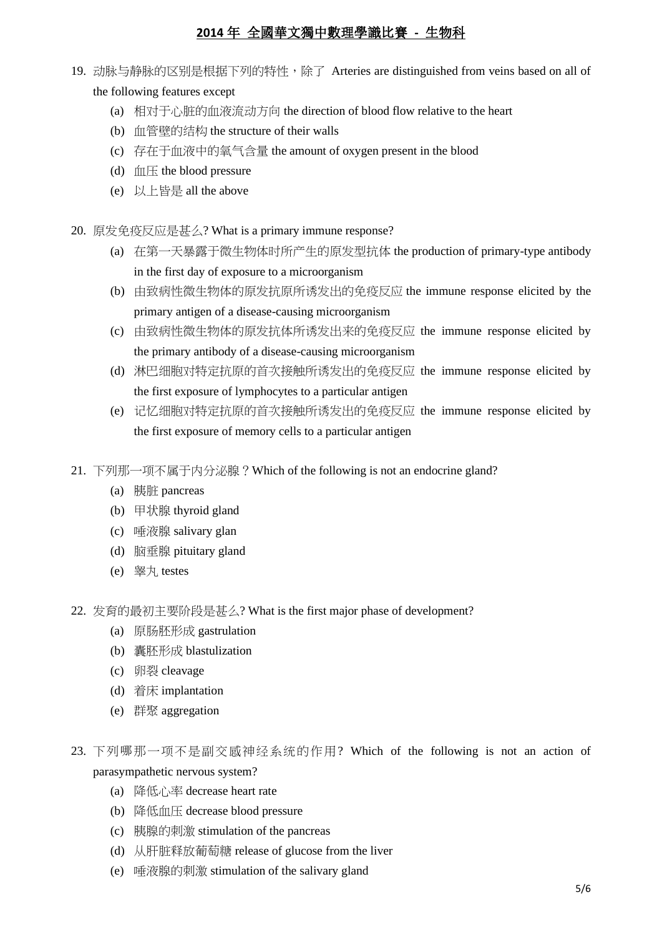- 19. 动脉与静脉的区别是根据下列的特性,除了 Arteries are distinguished from veins based on all of the following features except
	- (a) 相对于心脏的血液流动方向 the direction of blood flow relative to the heart
	- (b) 血管壁的结构 the structure of their walls
	- (c) 存在于血液中的氧气含量 the amount of oxygen present in the blood
	- (d)  $m \times$  the blood pressure
	- (e) 以上皆是 all the above
- 20. 原发免疫反应是甚么? What is a primary immune response?
	- (a) 在第一天暴露于微生物体时所产生的原发型抗体 the production of primary-type antibody in the first day of exposure to a microorganism
	- (b) 由致病性微生物体的原发抗原所诱发出的免疫反应 the immune response elicited by the primary antigen of a disease-causing microorganism
	- (c) 由致病性微生物体的原发抗体所诱发出来的免疫反应 the immune response elicited by the primary antibody of a disease-causing microorganism
	- (d) 淋巴细胞对特定抗原的首次接触所诱发出的免疫反应 the immune response elicited by the first exposure of lymphocytes to a particular antigen
	- (e) 记忆细胞对特定抗原的首次接触所诱发出的免疫反应 the immune response elicited by the first exposure of memory cells to a particular antigen
- 21. 下列那一项不属于内分泌腺?Which of the following is not an endocrine gland?
	- (a) 胰脏 pancreas
	- (b) 甲状腺 thyroid gland
	- (c) 唾液腺 salivary glan
	- (d) 脑垂腺 pituitary gland
	- (e) 睾丸 testes
- 22. 发育的最初主要阶段是甚么? What is the first major phase of development?
	- (a) 原肠胚形成 gastrulation
	- (b) 囊胚形成 blastulization
	- (c) 卵裂 cleavage
	- (d) 着床 implantation
	- (e) 群聚 aggregation
- 23. 下列哪那一项不是副交感神经系统的作用? Which of the following is not an action of parasympathetic nervous system?
	- (a) 降低心率 decrease heart rate
	- (b) 降低血压 decrease blood pressure
	- (c) 胰腺的刺激 stimulation of the pancreas
	- (d) 从肝脏释放葡萄糖 release of glucose from the liver
	- (e) 唾液腺的刺激 stimulation of the salivary gland